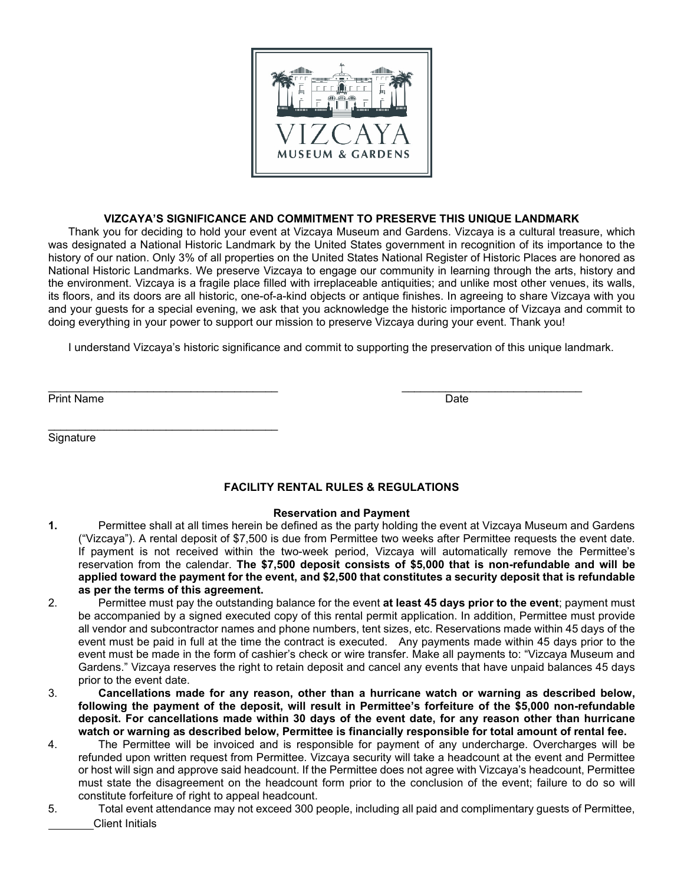

# **VIZCAYA'S SIGNIFICANCE AND COMMITMENT TO PRESERVE THIS UNIQUE LANDMARK**

Thank you for deciding to hold your event at Vizcaya Museum and Gardens. Vizcaya is a cultural treasure, which was designated a National Historic Landmark by the United States government in recognition of its importance to the history of our nation. Only 3% of all properties on the United States National Register of Historic Places are honored as National Historic Landmarks. We preserve Vizcaya to engage our community in learning through the arts, history and the environment. Vizcaya is a fragile place filled with irreplaceable antiquities; and unlike most other venues, its walls, its floors, and its doors are all historic, one-of-a-kind objects or antique finishes. In agreeing to share Vizcaya with you and your guests for a special evening, we ask that you acknowledge the historic importance of Vizcaya and commit to doing everything in your power to support our mission to preserve Vizcaya during your event. Thank you!

I understand Vizcaya's historic significance and commit to supporting the preservation of this unique landmark.

\_\_\_\_\_\_\_\_\_\_\_\_\_\_\_\_\_\_\_\_\_\_\_\_\_\_\_\_\_\_\_\_\_\_\_\_\_ \_\_\_\_\_\_\_\_\_\_\_\_\_\_\_\_\_\_\_\_\_\_\_\_\_\_\_\_\_

Print Name Date is a state of the control of the control of the control of the control of the control of the control of the control of the control of the control of the control of the control of the control of the control

**Signature** 

\_\_\_\_\_\_\_\_\_\_\_\_\_\_\_\_\_\_\_\_\_\_\_\_\_\_\_\_\_\_\_\_\_\_\_\_\_

# **FACILITY RENTAL RULES & REGULATIONS**

#### **Reservation and Payment**

- **1.** Permittee shall at all times herein be defined as the party holding the event at Vizcaya Museum and Gardens ("Vizcaya"). A rental deposit of \$7,500 is due from Permittee two weeks after Permittee requests the event date. If payment is not received within the two-week period, Vizcaya will automatically remove the Permittee's reservation from the calendar. **The \$7,500 deposit consists of \$5,000 that is non-refundable and will be applied toward the payment for the event, and \$2,500 that constitutes a security deposit that is refundable as per the terms of this agreement.**
- 2. Permittee must pay the outstanding balance for the event **at least 45 days prior to the event**; payment must be accompanied by a signed executed copy of this rental permit application. In addition, Permittee must provide all vendor and subcontractor names and phone numbers, tent sizes, etc. Reservations made within 45 days of the event must be paid in full at the time the contract is executed. Any payments made within 45 days prior to the event must be made in the form of cashier's check or wire transfer. Make all payments to: "Vizcaya Museum and Gardens." Vizcaya reserves the right to retain deposit and cancel any events that have unpaid balances 45 days prior to the event date.
- 3. **Cancellations made for any reason, other than a hurricane watch or warning as described below, following the payment of the deposit, will result in Permittee's forfeiture of the \$5,000 non-refundable deposit. For cancellations made within 30 days of the event date, for any reason other than hurricane watch or warning as described below, Permittee is financially responsible for total amount of rental fee.**
- 4. The Permittee will be invoiced and is responsible for payment of any undercharge. Overcharges will be refunded upon written request from Permittee. Vizcaya security will take a headcount at the event and Permittee or host will sign and approve said headcount. If the Permittee does not agree with Vizcaya's headcount, Permittee must state the disagreement on the headcount form prior to the conclusion of the event; failure to do so will constitute forfeiture of right to appeal headcount.
- Client Initials 5. Total event attendance may not exceed 300 people, including all paid and complimentary guests of Permittee,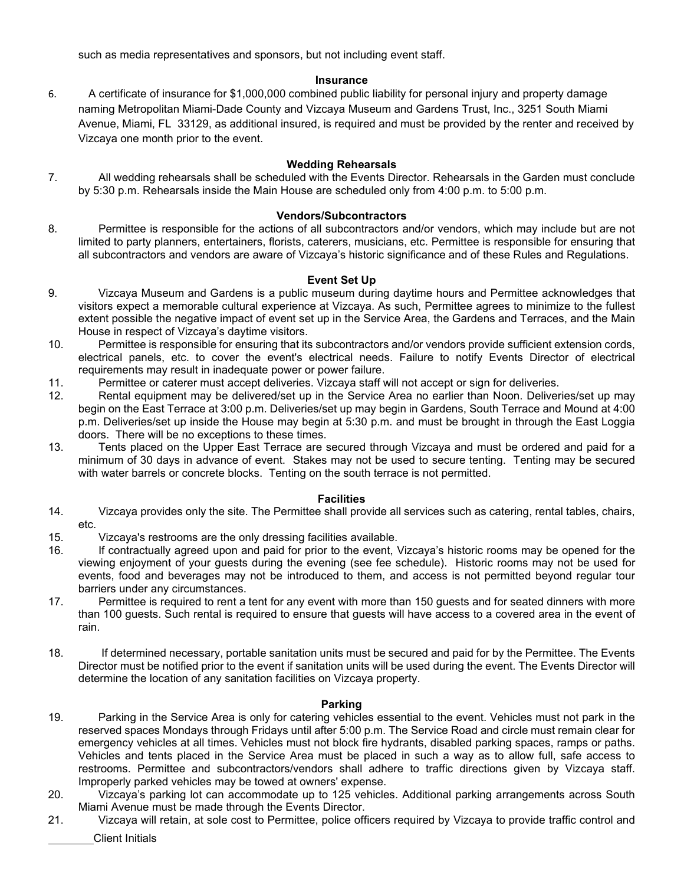such as media representatives and sponsors, but not including event staff.

# **Insurance**

6. A certificate of insurance for \$1,000,000 combined public liability for personal injury and property damage naming Metropolitan Miami-Dade County and Vizcaya Museum and Gardens Trust, Inc., 3251 South Miami Avenue, Miami, FL 33129, as additional insured, is required and must be provided by the renter and received by Vizcaya one month prior to the event.

## **Wedding Rehearsals**

7. All wedding rehearsals shall be scheduled with the Events Director. Rehearsals in the Garden must conclude by 5:30 p.m. Rehearsals inside the Main House are scheduled only from 4:00 p.m. to 5:00 p.m.

#### **Vendors/Subcontractors**

8. Permittee is responsible for the actions of all subcontractors and/or vendors, which may include but are not limited to party planners, entertainers, florists, caterers, musicians, etc. Permittee is responsible for ensuring that all subcontractors and vendors are aware of Vizcaya's historic significance and of these Rules and Regulations.

## **Event Set Up**

- 9. Vizcaya Museum and Gardens is a public museum during daytime hours and Permittee acknowledges that visitors expect a memorable cultural experience at Vizcaya. As such, Permittee agrees to minimize to the fullest extent possible the negative impact of event set up in the Service Area, the Gardens and Terraces, and the Main House in respect of Vizcaya's daytime visitors.
- 10. Permittee is responsible for ensuring that its subcontractors and/or vendors provide sufficient extension cords, electrical panels, etc. to cover the event's electrical needs. Failure to notify Events Director of electrical requirements may result in inadequate power or power failure.
- 11. Permittee or caterer must accept deliveries. Vizcaya staff will not accept or sign for deliveries.
- 12. Rental equipment may be delivered/set up in the Service Area no earlier than Noon. Deliveries/set up may begin on the East Terrace at 3:00 p.m. Deliveries/set up may begin in Gardens, South Terrace and Mound at 4:00 p.m. Deliveries/set up inside the House may begin at 5:30 p.m. and must be brought in through the East Loggia doors. There will be no exceptions to these times.
- 13. Tents placed on the Upper East Terrace are secured through Vizcaya and must be ordered and paid for a minimum of 30 days in advance of event. Stakes may not be used to secure tenting. Tenting may be secured with water barrels or concrete blocks. Tenting on the south terrace is not permitted.

#### **Facilities**

- 14. Vizcaya provides only the site. The Permittee shall provide all services such as catering, rental tables, chairs, etc.
- 15. Vizcaya's restrooms are the only dressing facilities available.
- 16. If contractually agreed upon and paid for prior to the event, Vizcaya's historic rooms may be opened for the viewing enjoyment of your guests during the evening (see fee schedule). Historic rooms may not be used for events, food and beverages may not be introduced to them, and access is not permitted beyond regular tour barriers under any circumstances.
- 17. Permittee is required to rent a tent for any event with more than 150 guests and for seated dinners with more than 100 guests. Such rental is required to ensure that guests will have access to a covered area in the event of rain.
- 18. If determined necessary, portable sanitation units must be secured and paid for by the Permittee. The Events Director must be notified prior to the event if sanitation units will be used during the event. The Events Director will determine the location of any sanitation facilities on Vizcaya property.

# **Parking**

- 19. Parking in the Service Area is only for catering vehicles essential to the event. Vehicles must not park in the reserved spaces Mondays through Fridays until after 5:00 p.m. The Service Road and circle must remain clear for emergency vehicles at all times. Vehicles must not block fire hydrants, disabled parking spaces, ramps or paths. Vehicles and tents placed in the Service Area must be placed in such a way as to allow full, safe access to restrooms. Permittee and subcontractors/vendors shall adhere to traffic directions given by Vizcaya staff. Improperly parked vehicles may be towed at owners' expense.
- 20. Vizcaya's parking lot can accommodate up to 125 vehicles. Additional parking arrangements across South Miami Avenue must be made through the Events Director.
- Client Initials 21. Vizcaya will retain, at sole cost to Permittee, police officers required by Vizcaya to provide traffic control and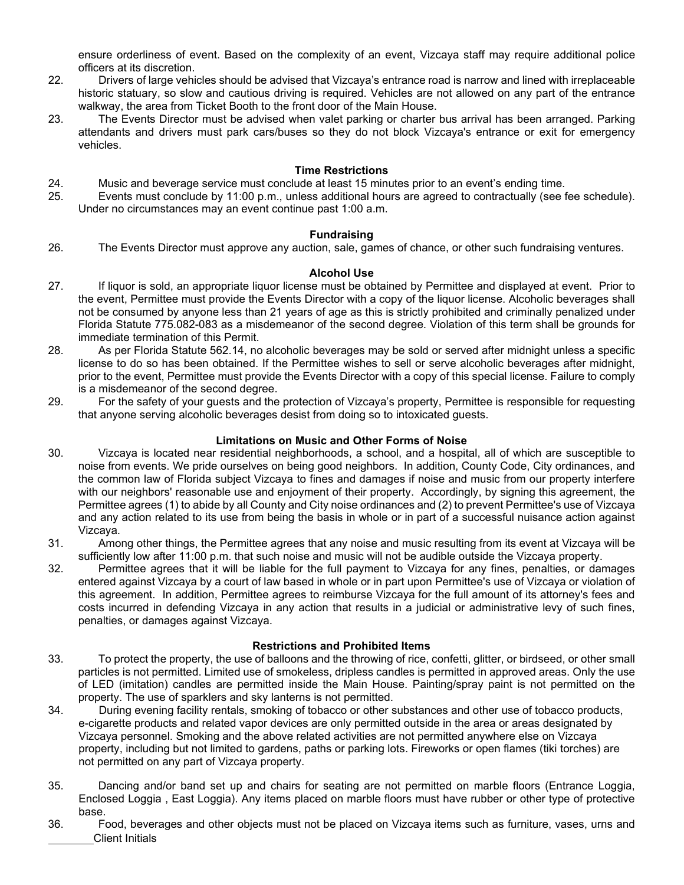ensure orderliness of event. Based on the complexity of an event, Vizcaya staff may require additional police officers at its discretion.

- 22. Drivers of large vehicles should be advised that Vizcaya's entrance road is narrow and lined with irreplaceable historic statuary, so slow and cautious driving is required. Vehicles are not allowed on any part of the entrance walkway, the area from Ticket Booth to the front door of the Main House.
- 23. The Events Director must be advised when valet parking or charter bus arrival has been arranged. Parking attendants and drivers must park cars/buses so they do not block Vizcaya's entrance or exit for emergency vehicles.

#### **Time Restrictions**

- 24. Music and beverage service must conclude at least 15 minutes prior to an event's ending time.
- 25. Events must conclude by 11:00 p.m., unless additional hours are agreed to contractually (see fee schedule). Under no circumstances may an event continue past 1:00 a.m.

#### **Fundraising**

26. The Events Director must approve any auction, sale, games of chance, or other such fundraising ventures.

## **Alcohol Use**

- 27. If liquor is sold, an appropriate liquor license must be obtained by Permittee and displayed at event. Prior to the event, Permittee must provide the Events Director with a copy of the liquor license. Alcoholic beverages shall not be consumed by anyone less than 21 years of age as this is strictly prohibited and criminally penalized under Florida Statute 775.082-083 as a misdemeanor of the second degree. Violation of this term shall be grounds for immediate termination of this Permit.
- 28. As per Florida Statute 562.14, no alcoholic beverages may be sold or served after midnight unless a specific license to do so has been obtained. If the Permittee wishes to sell or serve alcoholic beverages after midnight, prior to the event, Permittee must provide the Events Director with a copy of this special license. Failure to comply is a misdemeanor of the second degree.
- 29. For the safety of your guests and the protection of Vizcaya's property, Permittee is responsible for requesting that anyone serving alcoholic beverages desist from doing so to intoxicated guests.

#### **Limitations on Music and Other Forms of Noise**

- 30. Vizcaya is located near residential neighborhoods, a school, and a hospital, all of which are susceptible to noise from events. We pride ourselves on being good neighbors. In addition, County Code, City ordinances, and the common law of Florida subject Vizcaya to fines and damages if noise and music from our property interfere with our neighbors' reasonable use and enjoyment of their property. Accordingly, by signing this agreement, the Permittee agrees (1) to abide by all County and City noise ordinances and (2) to prevent Permittee's use of Vizcaya and any action related to its use from being the basis in whole or in part of a successful nuisance action against Vizcaya.
- 31. Among other things, the Permittee agrees that any noise and music resulting from its event at Vizcaya will be sufficiently low after 11:00 p.m. that such noise and music will not be audible outside the Vizcaya property.
- 32. Permittee agrees that it will be liable for the full payment to Vizcaya for any fines, penalties, or damages entered against Vizcaya by a court of law based in whole or in part upon Permittee's use of Vizcaya or violation of this agreement. In addition, Permittee agrees to reimburse Vizcaya for the full amount of its attorney's fees and costs incurred in defending Vizcaya in any action that results in a judicial or administrative levy of such fines, penalties, or damages against Vizcaya.

#### **Restrictions and Prohibited Items**

- 33. To protect the property, the use of balloons and the throwing of rice, confetti, glitter, or birdseed, or other small particles is not permitted. Limited use of smokeless, dripless candles is permitted in approved areas. Only the use of LED (imitation) candles are permitted inside the Main House. Painting/spray paint is not permitted on the property. The use of sparklers and sky lanterns is not permitted.
- 34. During evening facility rentals, smoking of tobacco or other substances and other use of tobacco products, e-cigarette products and related vapor devices are only permitted outside in the area or areas designated by Vizcaya personnel. Smoking and the above related activities are not permitted anywhere else on Vizcaya property, including but not limited to gardens, paths or parking lots. Fireworks or open flames (tiki torches) are not permitted on any part of Vizcaya property.
- 35. Dancing and/or band set up and chairs for seating are not permitted on marble floors (Entrance Loggia, Enclosed Loggia , East Loggia). Any items placed on marble floors must have rubber or other type of protective base.
- Client Initials 36. Food, beverages and other objects must not be placed on Vizcaya items such as furniture, vases, urns and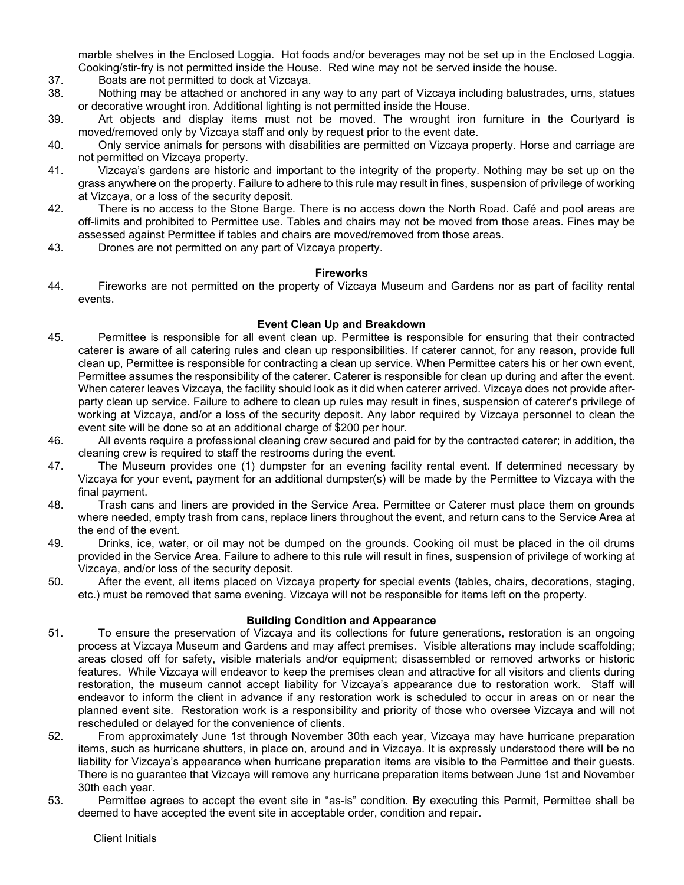marble shelves in the Enclosed Loggia. Hot foods and/or beverages may not be set up in the Enclosed Loggia. Cooking/stir-fry is not permitted inside the House. Red wine may not be served inside the house.

- 37. Boats are not permitted to dock at Vizcaya.
- 38. Nothing may be attached or anchored in any way to any part of Vizcaya including balustrades, urns, statues or decorative wrought iron. Additional lighting is not permitted inside the House.
- 39. Art objects and display items must not be moved. The wrought iron furniture in the Courtyard is moved/removed only by Vizcaya staff and only by request prior to the event date.
- 40. Only service animals for persons with disabilities are permitted on Vizcaya property. Horse and carriage are not permitted on Vizcaya property.
- 41. Vizcaya's gardens are historic and important to the integrity of the property. Nothing may be set up on the grass anywhere on the property. Failure to adhere to this rule may result in fines, suspension of privilege of working at Vizcaya, or a loss of the security deposit.
- 42. There is no access to the Stone Barge. There is no access down the North Road. Café and pool areas are off-limits and prohibited to Permittee use. Tables and chairs may not be moved from those areas. Fines may be assessed against Permittee if tables and chairs are moved/removed from those areas.
- 43. Drones are not permitted on any part of Vizcaya property.

#### **Fireworks**

44. Fireworks are not permitted on the property of Vizcaya Museum and Gardens nor as part of facility rental events.

#### **Event Clean Up and Breakdown**

- 45. Permittee is responsible for all event clean up. Permittee is responsible for ensuring that their contracted caterer is aware of all catering rules and clean up responsibilities. If caterer cannot, for any reason, provide full clean up, Permittee is responsible for contracting a clean up service. When Permittee caters his or her own event, Permittee assumes the responsibility of the caterer. Caterer is responsible for clean up during and after the event. When caterer leaves Vizcaya, the facility should look as it did when caterer arrived. Vizcaya does not provide afterparty clean up service. Failure to adhere to clean up rules may result in fines, suspension of caterer's privilege of working at Vizcaya, and/or a loss of the security deposit. Any labor required by Vizcaya personnel to clean the event site will be done so at an additional charge of \$200 per hour.
- 46. All events require a professional cleaning crew secured and paid for by the contracted caterer; in addition, the cleaning crew is required to staff the restrooms during the event.
- 47. The Museum provides one (1) dumpster for an evening facility rental event. If determined necessary by Vizcaya for your event, payment for an additional dumpster(s) will be made by the Permittee to Vizcaya with the final payment.
- 48. Trash cans and liners are provided in the Service Area. Permittee or Caterer must place them on grounds where needed, empty trash from cans, replace liners throughout the event, and return cans to the Service Area at the end of the event.
- 49. Drinks, ice, water, or oil may not be dumped on the grounds. Cooking oil must be placed in the oil drums provided in the Service Area. Failure to adhere to this rule will result in fines, suspension of privilege of working at Vizcaya, and/or loss of the security deposit.
- 50. After the event, all items placed on Vizcaya property for special events (tables, chairs, decorations, staging, etc.) must be removed that same evening. Vizcaya will not be responsible for items left on the property.

#### **Building Condition and Appearance**

- 51. To ensure the preservation of Vizcaya and its collections for future generations, restoration is an ongoing process at Vizcaya Museum and Gardens and may affect premises. Visible alterations may include scaffolding; areas closed off for safety, visible materials and/or equipment; disassembled or removed artworks or historic features. While Vizcaya will endeavor to keep the premises clean and attractive for all visitors and clients during restoration, the museum cannot accept liability for Vizcaya's appearance due to restoration work. Staff will endeavor to inform the client in advance if any restoration work is scheduled to occur in areas on or near the planned event site. Restoration work is a responsibility and priority of those who oversee Vizcaya and will not rescheduled or delayed for the convenience of clients.
- 52. From approximately June 1st through November 30th each year, Vizcaya may have hurricane preparation items, such as hurricane shutters, in place on, around and in Vizcaya. It is expressly understood there will be no liability for Vizcaya's appearance when hurricane preparation items are visible to the Permittee and their guests. There is no guarantee that Vizcaya will remove any hurricane preparation items between June 1st and November 30th each year.
- 53. Permittee agrees to accept the event site in "as-is" condition. By executing this Permit, Permittee shall be deemed to have accepted the event site in acceptable order, condition and repair.